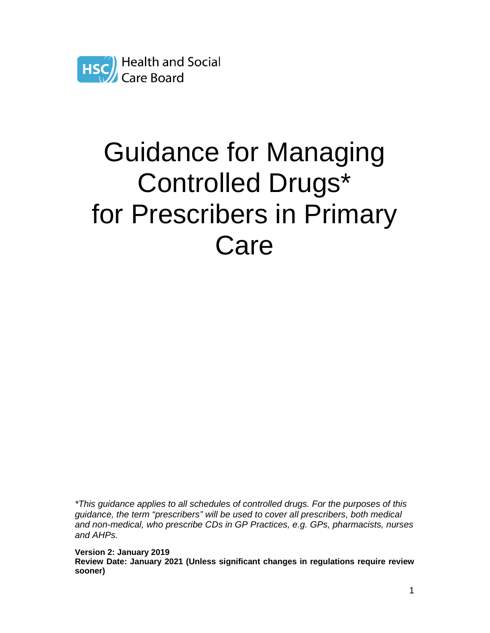

# Guidance for Managing Controlled Drugs\* for Prescribers in Primary Care

\*This guidance applies to all schedules of controlled drugs. For the purposes of this guidance, the term "prescribers" will be used to cover all prescribers, both medical and non-medical, who prescribe CDs in GP Practices, e.g. GPs, pharmacists, nurses and AHPs.

**Version 2: January 2019 Review Date: January 2021 (Unless significant changes in regulations require review sooner)**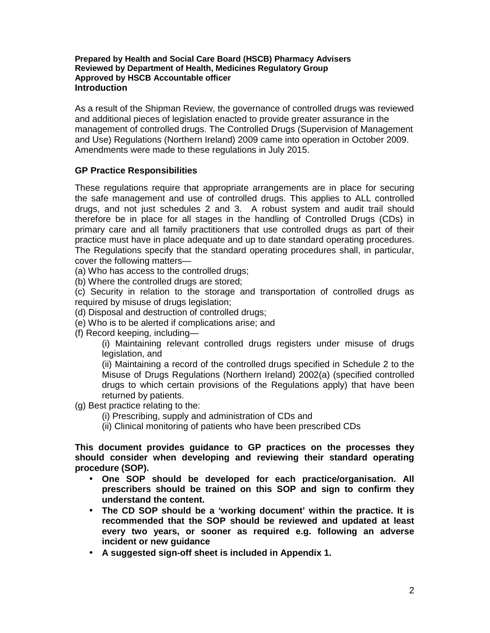#### **Prepared by Health and Social Care Board (HSCB) Pharmacy Advisers Reviewed by Department of Health, Medicines Regulatory Group Approved by HSCB Accountable officer Introduction**

As a result of the Shipman Review, the governance of controlled drugs was reviewed and additional pieces of legislation enacted to provide greater assurance in the management of controlled drugs. The Controlled Drugs (Supervision of Management and Use) Regulations (Northern Ireland) 2009 came into operation in October 2009. Amendments were made to these regulations in July 2015.

## **GP Practice Responsibilities**

These regulations require that appropriate arrangements are in place for securing the safe management and use of controlled drugs. This applies to ALL controlled drugs, and not just schedules 2 and 3. A robust system and audit trail should therefore be in place for all stages in the handling of Controlled Drugs (CDs) in primary care and all family practitioners that use controlled drugs as part of their practice must have in place adequate and up to date standard operating procedures. The Regulations specify that the standard operating procedures shall, in particular, cover the following matters—

(a) Who has access to the controlled drugs;

(b) Where the controlled drugs are stored;

(c) Security in relation to the storage and transportation of controlled drugs as required by misuse of drugs legislation;

(d) Disposal and destruction of controlled drugs;

- (e) Who is to be alerted if complications arise; and
- (f) Record keeping, including—

(i) Maintaining relevant controlled drugs registers under misuse of drugs legislation, and

(ii) Maintaining a record of the controlled drugs specified in Schedule 2 to the Misuse of Drugs Regulations (Northern Ireland) 2002(a) (specified controlled drugs to which certain provisions of the Regulations apply) that have been returned by patients.

(g) Best practice relating to the:

- (i) Prescribing, supply and administration of CDs and
- (ii) Clinical monitoring of patients who have been prescribed CDs

**This document provides guidance to GP practices on the processes they should consider when developing and reviewing their standard operating procedure (SOP).** 

- **One SOP should be developed for each practice/organisation. All prescribers should be trained on this SOP and sign to confirm they understand the content.**
- **The CD SOP should be a 'working document' within the practice. It is recommended that the SOP should be reviewed and updated at least every two years, or sooner as required e.g. following an adverse incident or new guidance**
- **A suggested sign-off sheet is included in Appendix 1.**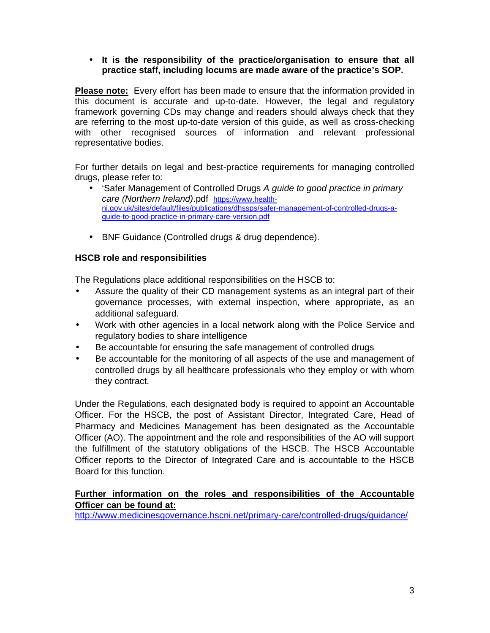#### • **It is the responsibility of the practice/organisation to ensure that all practice staff, including locums are made aware of the practice's SOP.**

**Please note:** Every effort has been made to ensure that the information provided in this document is accurate and up-to-date. However, the legal and regulatory framework governing CDs may change and readers should always check that they are referring to the most up-to-date version of this guide, as well as cross-checking with other recognised sources of information and relevant professional representative bodies.

For further details on legal and best-practice requirements for managing controlled drugs, please refer to:

- 'Safer Management of Controlled Drugs A guide to good practice in primary care (Northern Ireland).pdf https://www.healthni.gov.uk/sites/default/files/publications/dhssps/safer-management-of-controlled-drugs-aguide-to-good-practice-in-primary-care-version.pdf
- BNF Guidance (Controlled drugs & drug dependence).

## **HSCB role and responsibilities**

The Regulations place additional responsibilities on the HSCB to:

- Assure the quality of their CD management systems as an integral part of their governance processes, with external inspection, where appropriate, as an additional safeguard.
- Work with other agencies in a local network along with the Police Service and regulatory bodies to share intelligence
- Be accountable for ensuring the safe management of controlled drugs
- Be accountable for the monitoring of all aspects of the use and management of controlled drugs by all healthcare professionals who they employ or with whom they contract.

Under the Regulations, each designated body is required to appoint an Accountable Officer. For the HSCB, the post of Assistant Director, Integrated Care, Head of Pharmacy and Medicines Management has been designated as the Accountable Officer (AO). The appointment and the role and responsibilities of the AO will support the fulfillment of the statutory obligations of the HSCB. The HSCB Accountable Officer reports to the Director of Integrated Care and is accountable to the HSCB Board for this function.

## **Further information on the roles and responsibilities of the Accountable Officer can be found at:**

http://www.medicinesgovernance.hscni.net/primary-care/controlled-drugs/guidance/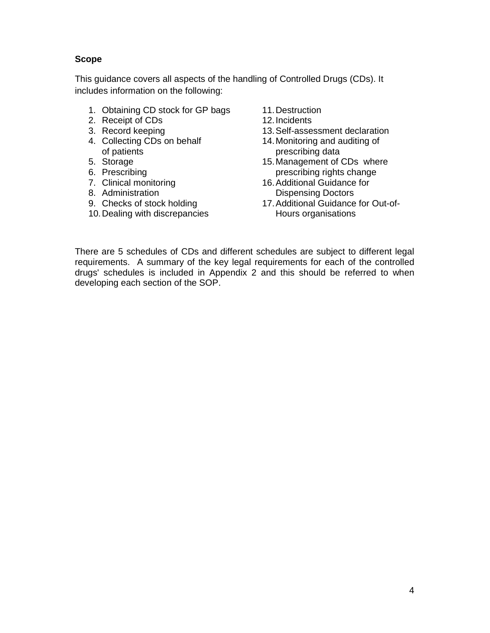## **Scope**

This guidance covers all aspects of the handling of Controlled Drugs (CDs). It includes information on the following:

- 1. Obtaining CD stock for GP bags
- 2. Receipt of CDs
- 3. Record keeping
- 4. Collecting CDs on behalf of patients
- 5. Storage
- 6. Prescribing
- 7. Clinical monitoring
- 8. Administration
- 9. Checks of stock holding
- 10. Dealing with discrepancies
- 11. Destruction
- 12. Incidents
- 13. Self-assessment declaration
- 14. Monitoring and auditing of prescribing data
- 15. Management of CDs where prescribing rights change
- 16. Additional Guidance for Dispensing Doctors
- 17. Additional Guidance for Out-of-Hours organisations

There are 5 schedules of CDs and different schedules are subject to different legal requirements. A summary of the key legal requirements for each of the controlled drugs' schedules is included in Appendix 2 and this should be referred to when developing each section of the SOP.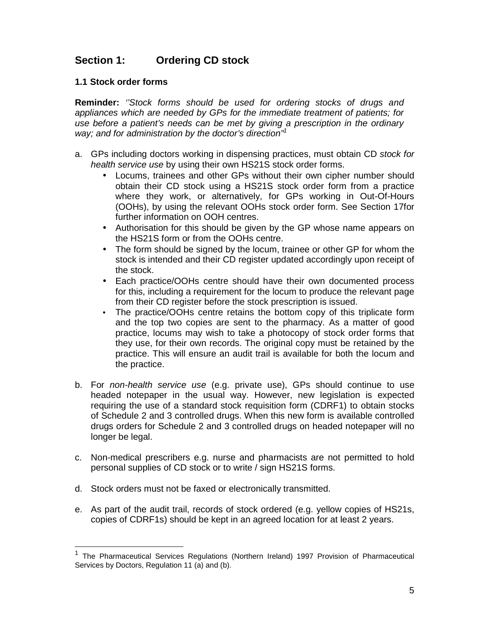# **Section 1: Ordering CD stock**

## **1.1 Stock order forms**

**Reminder:** ''Stock forms should be used for ordering stocks of drugs and appliances which are needed by GPs for the immediate treatment of patients; for use before a patient's needs can be met by giving a prescription in the ordinary way; and for administration by the doctor's direction<sup>"1</sup>

- a. GPs including doctors working in dispensing practices, must obtain CD stock for health service use by using their own HS21S stock order forms.
	- Locums, trainees and other GPs without their own cipher number should obtain their CD stock using a HS21S stock order form from a practice where they work, or alternatively, for GPs working in Out-Of-Hours (OOHs), by using the relevant OOHs stock order form. See Section 17for further information on OOH centres.
	- Authorisation for this should be given by the GP whose name appears on the HS21S form or from the OOHs centre.
	- The form should be signed by the locum, trainee or other GP for whom the stock is intended and their CD register updated accordingly upon receipt of the stock.
	- Each practice/OOHs centre should have their own documented process for this, including a requirement for the locum to produce the relevant page from their CD register before the stock prescription is issued.
	- The practice/OOHs centre retains the bottom copy of this triplicate form and the top two copies are sent to the pharmacy. As a matter of good practice, locums may wish to take a photocopy of stock order forms that they use, for their own records. The original copy must be retained by the practice. This will ensure an audit trail is available for both the locum and the practice.
- b. For non-health service use (e.g. private use), GPs should continue to use headed notepaper in the usual way. However, new legislation is expected requiring the use of a standard stock requisition form (CDRF1) to obtain stocks of Schedule 2 and 3 controlled drugs. When this new form is available controlled drugs orders for Schedule 2 and 3 controlled drugs on headed notepaper will no longer be legal.
- c. Non-medical prescribers e.g. nurse and pharmacists are not permitted to hold personal supplies of CD stock or to write / sign HS21S forms.
- d. Stock orders must not be faxed or electronically transmitted.

-

e. As part of the audit trail, records of stock ordered (e.g. yellow copies of HS21s, copies of CDRF1s) should be kept in an agreed location for at least 2 years.

<sup>1</sup> The Pharmaceutical Services Regulations (Northern Ireland) 1997 Provision of Pharmaceutical Services by Doctors, Regulation 11 (a) and (b).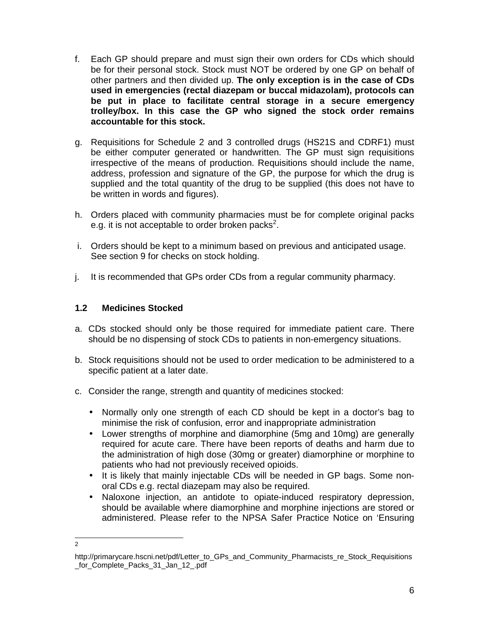- f. Each GP should prepare and must sign their own orders for CDs which should be for their personal stock. Stock must NOT be ordered by one GP on behalf of other partners and then divided up. **The only exception is in the case of CDs used in emergencies (rectal diazepam or buccal midazolam), protocols can be put in place to facilitate central storage in a secure emergency trolley/box. In this case the GP who signed the stock order remains accountable for this stock.**
- g. Requisitions for Schedule 2 and 3 controlled drugs (HS21S and CDRF1) must be either computer generated or handwritten. The GP must sign requisitions irrespective of the means of production. Requisitions should include the name, address, profession and signature of the GP, the purpose for which the drug is supplied and the total quantity of the drug to be supplied (this does not have to be written in words and figures).
- h. Orders placed with community pharmacies must be for complete original packs e.g. it is not acceptable to order broken packs<sup>2</sup>.
- i. Orders should be kept to a minimum based on previous and anticipated usage. See section 9 for checks on stock holding.
- j. It is recommended that GPs order CDs from a regular community pharmacy.

## **1.2 Medicines Stocked**

- a. CDs stocked should only be those required for immediate patient care. There should be no dispensing of stock CDs to patients in non-emergency situations.
- b. Stock requisitions should not be used to order medication to be administered to a specific patient at a later date.
- c. Consider the range, strength and quantity of medicines stocked:
	- Normally only one strength of each CD should be kept in a doctor's bag to minimise the risk of confusion, error and inappropriate administration
	- Lower strengths of morphine and diamorphine (5mg and 10mg) are generally required for acute care. There have been reports of deaths and harm due to the administration of high dose (30mg or greater) diamorphine or morphine to patients who had not previously received opioids.
	- It is likely that mainly injectable CDs will be needed in GP bags. Some nonoral CDs e.g. rectal diazepam may also be required.
	- Naloxone injection, an antidote to opiate-induced respiratory depression, should be available where diamorphine and morphine injections are stored or administered. Please refer to the NPSA Safer Practice Notice on 'Ensuring

<sup>-&</sup>lt;br>2

http://primarycare.hscni.net/pdf/Letter\_to\_GPs\_and\_Community\_Pharmacists\_re\_Stock\_Requisitions \_for\_Complete\_Packs\_31\_Jan\_12\_.pdf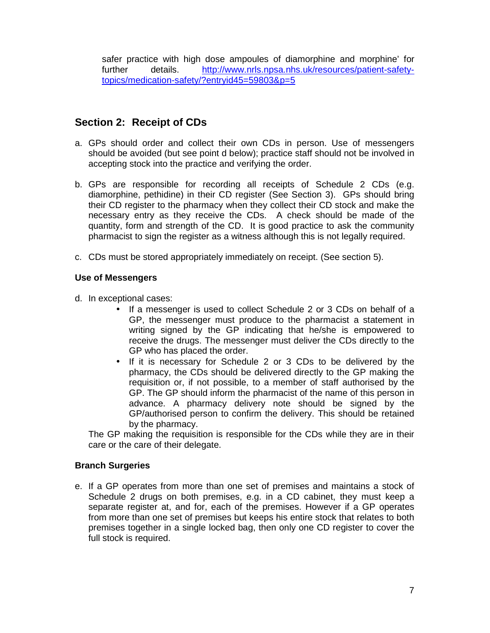safer practice with high dose ampoules of diamorphine and morphine' for further details. http://www.nrls.npsa.nhs.uk/resources/patient-safetytopics/medication-safety/?entryid45=59803&p=5

# **Section 2: Receipt of CDs**

- a. GPs should order and collect their own CDs in person. Use of messengers should be avoided (but see point d below); practice staff should not be involved in accepting stock into the practice and verifying the order.
- b. GPs are responsible for recording all receipts of Schedule 2 CDs (e.g. diamorphine, pethidine) in their CD register (See Section 3). GPs should bring their CD register to the pharmacy when they collect their CD stock and make the necessary entry as they receive the CDs. A check should be made of the quantity, form and strength of the CD. It is good practice to ask the community pharmacist to sign the register as a witness although this is not legally required.
- c. CDs must be stored appropriately immediately on receipt. (See section 5).

#### **Use of Messengers**

d. In exceptional cases:

- If a messenger is used to collect Schedule 2 or 3 CDs on behalf of a GP, the messenger must produce to the pharmacist a statement in writing signed by the GP indicating that he/she is empowered to receive the drugs. The messenger must deliver the CDs directly to the GP who has placed the order.
- If it is necessary for Schedule 2 or 3 CDs to be delivered by the pharmacy, the CDs should be delivered directly to the GP making the requisition or, if not possible, to a member of staff authorised by the GP. The GP should inform the pharmacist of the name of this person in advance. A pharmacy delivery note should be signed by the GP/authorised person to confirm the delivery. This should be retained by the pharmacy.

The GP making the requisition is responsible for the CDs while they are in their care or the care of their delegate.

#### **Branch Surgeries**

e. If a GP operates from more than one set of premises and maintains a stock of Schedule 2 drugs on both premises, e.g. in a CD cabinet, they must keep a separate register at, and for, each of the premises. However if a GP operates from more than one set of premises but keeps his entire stock that relates to both premises together in a single locked bag, then only one CD register to cover the full stock is required.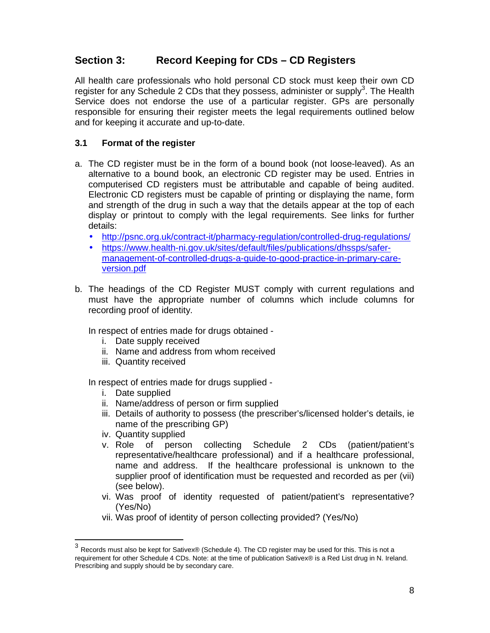# **Section 3: Record Keeping for CDs – CD Registers**

All health care professionals who hold personal CD stock must keep their own CD register for any Schedule 2 CDs that they possess, administer or supply<sup>3</sup>. The Health Service does not endorse the use of a particular register. GPs are personally responsible for ensuring their register meets the legal requirements outlined below and for keeping it accurate and up-to-date.

## **3.1 Format of the register**

- a. The CD register must be in the form of a bound book (not loose-leaved). As an alternative to a bound book, an electronic CD register may be used. Entries in computerised CD registers must be attributable and capable of being audited. Electronic CD registers must be capable of printing or displaying the name, form and strength of the drug in such a way that the details appear at the top of each display or printout to comply with the legal requirements. See links for further details:
	- http://psnc.org.uk/contract-it/pharmacy-regulation/controlled-drug-regulations/
	- https://www.health-ni.gov.uk/sites/default/files/publications/dhssps/safermanagement-of-controlled-drugs-a-guide-to-good-practice-in-primary-careversion.pdf
- b. The headings of the CD Register MUST comply with current regulations and must have the appropriate number of columns which include columns for recording proof of identity.

In respect of entries made for drugs obtained -

- i. Date supply received
- ii. Name and address from whom received
- iii. Quantity received

In respect of entries made for drugs supplied -

- i. Date supplied
- ii. Name/address of person or firm supplied
- iii. Details of authority to possess (the prescriber's/licensed holder's details, ie name of the prescribing GP)
- iv. Quantity supplied

-

- v. Role of person collecting Schedule 2 CDs (patient/patient's representative/healthcare professional) and if a healthcare professional, name and address. If the healthcare professional is unknown to the supplier proof of identification must be requested and recorded as per (vii) (see below).
- vi. Was proof of identity requested of patient/patient's representative? (Yes/No)
- vii. Was proof of identity of person collecting provided? (Yes/No)

<sup>3</sup> Records must also be kept for Sativex® (Schedule 4). The CD register may be used for this. This is not a requirement for other Schedule 4 CDs. Note: at the time of publication Sativex® is a Red List drug in N. Ireland. Prescribing and supply should be by secondary care.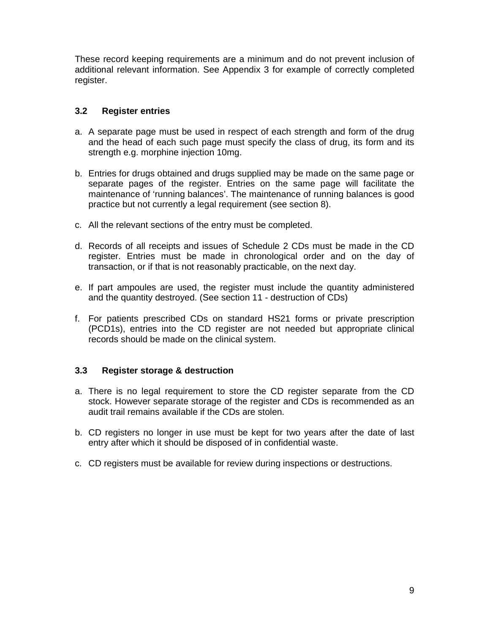These record keeping requirements are a minimum and do not prevent inclusion of additional relevant information. See Appendix 3 for example of correctly completed register.

## **3.2 Register entries**

- a. A separate page must be used in respect of each strength and form of the drug and the head of each such page must specify the class of drug, its form and its strength e.g. morphine injection 10mg.
- b. Entries for drugs obtained and drugs supplied may be made on the same page or separate pages of the register. Entries on the same page will facilitate the maintenance of 'running balances'. The maintenance of running balances is good practice but not currently a legal requirement (see section 8).
- c. All the relevant sections of the entry must be completed.
- d. Records of all receipts and issues of Schedule 2 CDs must be made in the CD register. Entries must be made in chronological order and on the day of transaction, or if that is not reasonably practicable, on the next day.
- e. If part ampoules are used, the register must include the quantity administered and the quantity destroyed. (See section 11 - destruction of CDs)
- f. For patients prescribed CDs on standard HS21 forms or private prescription (PCD1s), entries into the CD register are not needed but appropriate clinical records should be made on the clinical system.

#### **3.3 Register storage & destruction**

- a. There is no legal requirement to store the CD register separate from the CD stock. However separate storage of the register and CDs is recommended as an audit trail remains available if the CDs are stolen.
- b. CD registers no longer in use must be kept for two years after the date of last entry after which it should be disposed of in confidential waste.
- c. CD registers must be available for review during inspections or destructions.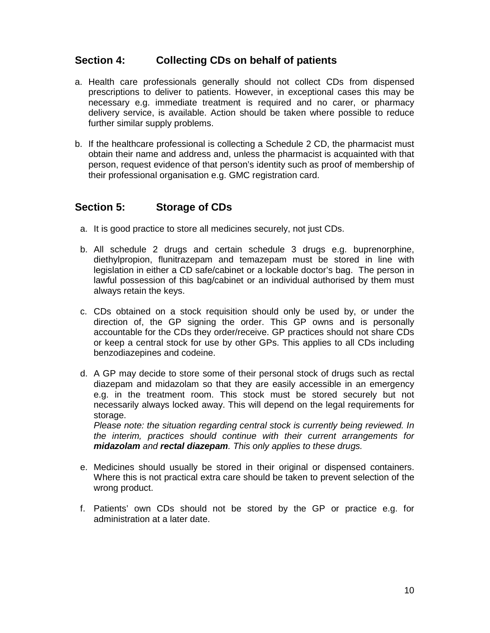# **Section 4: Collecting CDs on behalf of patients**

- a. Health care professionals generally should not collect CDs from dispensed prescriptions to deliver to patients. However, in exceptional cases this may be necessary e.g. immediate treatment is required and no carer, or pharmacy delivery service, is available. Action should be taken where possible to reduce further similar supply problems.
- b. If the healthcare professional is collecting a Schedule 2 CD, the pharmacist must obtain their name and address and, unless the pharmacist is acquainted with that person, request evidence of that person's identity such as proof of membership of their professional organisation e.g. GMC registration card.

# **Section 5: Storage of CDs**

- a. It is good practice to store all medicines securely, not just CDs.
- b. All schedule 2 drugs and certain schedule 3 drugs e.g. buprenorphine, diethylpropion, flunitrazepam and temazepam must be stored in line with legislation in either a CD safe/cabinet or a lockable doctor's bag. The person in lawful possession of this bag/cabinet or an individual authorised by them must always retain the keys.
- c. CDs obtained on a stock requisition should only be used by, or under the direction of, the GP signing the order. This GP owns and is personally accountable for the CDs they order/receive. GP practices should not share CDs or keep a central stock for use by other GPs. This applies to all CDs including benzodiazepines and codeine.
- d. A GP may decide to store some of their personal stock of drugs such as rectal diazepam and midazolam so that they are easily accessible in an emergency e.g. in the treatment room. This stock must be stored securely but not necessarily always locked away. This will depend on the legal requirements for storage.

Please note: the situation regarding central stock is currently being reviewed. In the interim, practices should continue with their current arrangements for **midazolam** and **rectal diazepam**. This only applies to these drugs.

- e. Medicines should usually be stored in their original or dispensed containers. Where this is not practical extra care should be taken to prevent selection of the wrong product.
- f. Patients' own CDs should not be stored by the GP or practice e.g. for administration at a later date.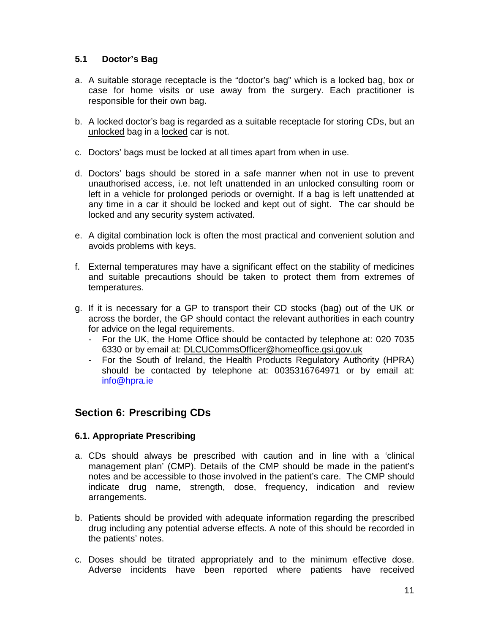## **5.1 Doctor's Bag**

- a. A suitable storage receptacle is the "doctor's bag" which is a locked bag, box or case for home visits or use away from the surgery. Each practitioner is responsible for their own bag.
- b. A locked doctor's bag is regarded as a suitable receptacle for storing CDs, but an unlocked bag in a locked car is not.
- c. Doctors' bags must be locked at all times apart from when in use.
- d. Doctors' bags should be stored in a safe manner when not in use to prevent unauthorised access, i.e. not left unattended in an unlocked consulting room or left in a vehicle for prolonged periods or overnight. If a bag is left unattended at any time in a car it should be locked and kept out of sight. The car should be locked and any security system activated.
- e. A digital combination lock is often the most practical and convenient solution and avoids problems with keys.
- f. External temperatures may have a significant effect on the stability of medicines and suitable precautions should be taken to protect them from extremes of temperatures.
- g. If it is necessary for a GP to transport their CD stocks (bag) out of the UK or across the border, the GP should contact the relevant authorities in each country for advice on the legal requirements.
	- For the UK, the Home Office should be contacted by telephone at: 020 7035 6330 or by email at: DLCUCommsOfficer@homeoffice.gsi.gov.uk
	- For the South of Ireland, the Health Products Regulatory Authority (HPRA) should be contacted by telephone at: 0035316764971 or by email at: info@hpra.ie

# **Section 6: Prescribing CDs**

## **6.1. Appropriate Prescribing**

- a. CDs should always be prescribed with caution and in line with a 'clinical management plan' (CMP). Details of the CMP should be made in the patient's notes and be accessible to those involved in the patient's care. The CMP should indicate drug name, strength, dose, frequency, indication and review arrangements.
- b. Patients should be provided with adequate information regarding the prescribed drug including any potential adverse effects. A note of this should be recorded in the patients' notes.
- c. Doses should be titrated appropriately and to the minimum effective dose. Adverse incidents have been reported where patients have received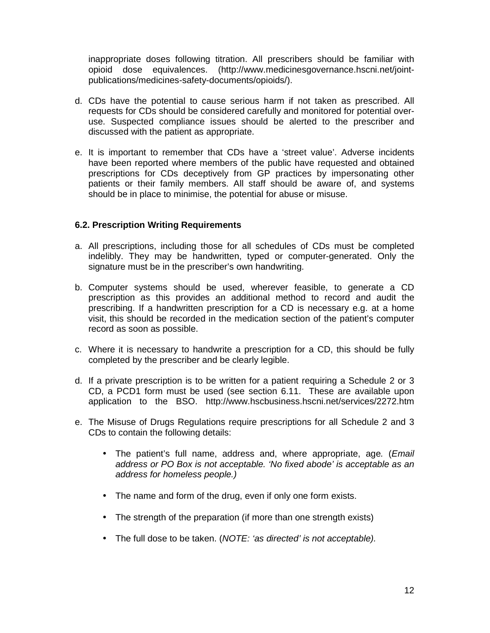inappropriate doses following titration. All prescribers should be familiar with opioid dose equivalences. (http://www.medicinesgovernance.hscni.net/jointpublications/medicines-safety-documents/opioids/).

- d. CDs have the potential to cause serious harm if not taken as prescribed. All requests for CDs should be considered carefully and monitored for potential overuse. Suspected compliance issues should be alerted to the prescriber and discussed with the patient as appropriate.
- e. It is important to remember that CDs have a 'street value'. Adverse incidents have been reported where members of the public have requested and obtained prescriptions for CDs deceptively from GP practices by impersonating other patients or their family members. All staff should be aware of, and systems should be in place to minimise, the potential for abuse or misuse.

#### **6.2. Prescription Writing Requirements**

- a. All prescriptions, including those for all schedules of CDs must be completed indelibly. They may be handwritten, typed or computer-generated. Only the signature must be in the prescriber's own handwriting.
- b. Computer systems should be used, wherever feasible, to generate a CD prescription as this provides an additional method to record and audit the prescribing. If a handwritten prescription for a CD is necessary e.g. at a home visit, this should be recorded in the medication section of the patient's computer record as soon as possible.
- c. Where it is necessary to handwrite a prescription for a CD, this should be fully completed by the prescriber and be clearly legible.
- d. If a private prescription is to be written for a patient requiring a Schedule 2 or 3 CD, a PCD1 form must be used (see section 6.11. These are available upon application to the BSO. http://www.hscbusiness.hscni.net/services/2272.htm
- e. The Misuse of Drugs Regulations require prescriptions for all Schedule 2 and 3 CDs to contain the following details:
	- The patient's full name, address and, where appropriate, age. (*Email* address or PO Box is not acceptable. 'No fixed abode' is acceptable as an address for homeless people.)
	- The name and form of the drug, even if only one form exists.
	- The strength of the preparation (if more than one strength exists)
	- The full dose to be taken. (NOTE: 'as directed' is not acceptable).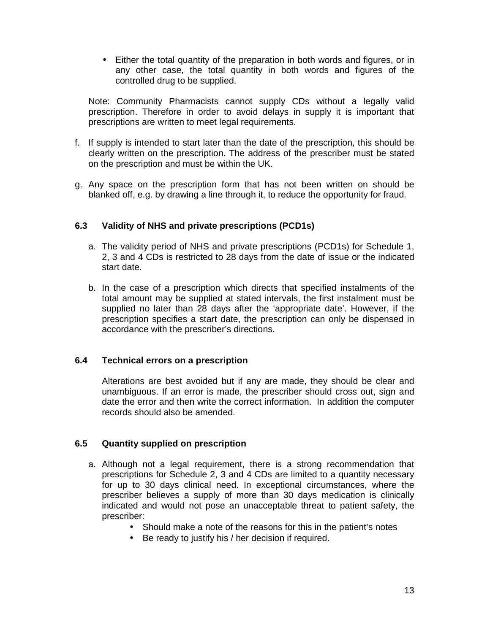• Either the total quantity of the preparation in both words and figures, or in any other case, the total quantity in both words and figures of the controlled drug to be supplied.

Note: Community Pharmacists cannot supply CDs without a legally valid prescription. Therefore in order to avoid delays in supply it is important that prescriptions are written to meet legal requirements.

- f. If supply is intended to start later than the date of the prescription, this should be clearly written on the prescription. The address of the prescriber must be stated on the prescription and must be within the UK.
- g. Any space on the prescription form that has not been written on should be blanked off, e.g. by drawing a line through it, to reduce the opportunity for fraud.

#### **6.3 Validity of NHS and private prescriptions (PCD1s)**

- a. The validity period of NHS and private prescriptions (PCD1s) for Schedule 1, 2, 3 and 4 CDs is restricted to 28 days from the date of issue or the indicated start date.
- b. In the case of a prescription which directs that specified instalments of the total amount may be supplied at stated intervals, the first instalment must be supplied no later than 28 days after the 'appropriate date'. However, if the prescription specifies a start date, the prescription can only be dispensed in accordance with the prescriber's directions.

#### **6.4 Technical errors on a prescription**

Alterations are best avoided but if any are made, they should be clear and unambiguous. If an error is made, the prescriber should cross out, sign and date the error and then write the correct information. In addition the computer records should also be amended.

#### **6.5 Quantity supplied on prescription**

- a. Although not a legal requirement, there is a strong recommendation that prescriptions for Schedule 2, 3 and 4 CDs are limited to a quantity necessary for up to 30 days clinical need. In exceptional circumstances, where the prescriber believes a supply of more than 30 days medication is clinically indicated and would not pose an unacceptable threat to patient safety, the prescriber:
	- Should make a note of the reasons for this in the patient's notes
	- Be ready to justify his / her decision if required.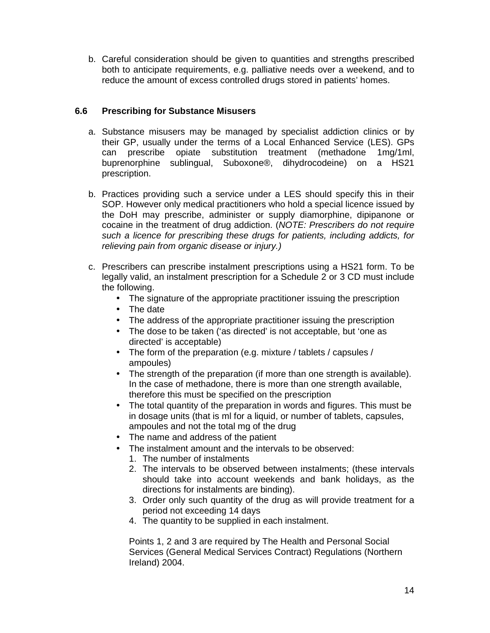b. Careful consideration should be given to quantities and strengths prescribed both to anticipate requirements, e.g. palliative needs over a weekend, and to reduce the amount of excess controlled drugs stored in patients' homes.

## **6.6 Prescribing for Substance Misusers**

- a. Substance misusers may be managed by specialist addiction clinics or by their GP, usually under the terms of a Local Enhanced Service (LES). GPs can prescribe opiate substitution treatment (methadone 1mg/1ml, buprenorphine sublingual, Suboxone®, dihydrocodeine) on a HS21 prescription.
- b. Practices providing such a service under a LES should specify this in their SOP. However only medical practitioners who hold a special licence issued by the DoH may prescribe, administer or supply diamorphine, dipipanone or cocaine in the treatment of drug addiction. (NOTE: Prescribers do not require such a licence for prescribing these drugs for patients, including addicts, for relieving pain from organic disease or injury.)
- c. Prescribers can prescribe instalment prescriptions using a HS21 form. To be legally valid, an instalment prescription for a Schedule 2 or 3 CD must include the following.
	- The signature of the appropriate practitioner issuing the prescription
	- The date
	- The address of the appropriate practitioner issuing the prescription
	- The dose to be taken ('as directed' is not acceptable, but 'one as directed' is acceptable)
	- The form of the preparation (e.g. mixture / tablets / capsules / ampoules)
	- The strength of the preparation (if more than one strength is available). In the case of methadone, there is more than one strength available, therefore this must be specified on the prescription
	- The total quantity of the preparation in words and figures. This must be in dosage units (that is ml for a liquid, or number of tablets, capsules, ampoules and not the total mg of the drug
	- The name and address of the patient
	- The instalment amount and the intervals to be observed:
		- 1. The number of instalments
		- 2. The intervals to be observed between instalments; (these intervals should take into account weekends and bank holidays, as the directions for instalments are binding).
		- 3. Order only such quantity of the drug as will provide treatment for a period not exceeding 14 days
		- 4. The quantity to be supplied in each instalment.

Points 1, 2 and 3 are required by The Health and Personal Social Services (General Medical Services Contract) Regulations (Northern Ireland) 2004.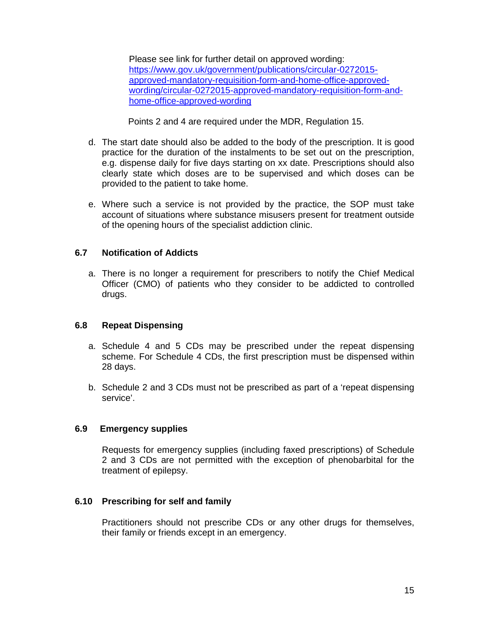Please see link for further detail on approved wording: https://www.gov.uk/government/publications/circular-0272015 approved-mandatory-requisition-form-and-home-office-approvedwording/circular-0272015-approved-mandatory-requisition-form-andhome-office-approved-wording

Points 2 and 4 are required under the MDR, Regulation 15.

- d. The start date should also be added to the body of the prescription. It is good practice for the duration of the instalments to be set out on the prescription, e.g. dispense daily for five days starting on xx date. Prescriptions should also clearly state which doses are to be supervised and which doses can be provided to the patient to take home.
- e. Where such a service is not provided by the practice, the SOP must take account of situations where substance misusers present for treatment outside of the opening hours of the specialist addiction clinic.

## **6.7 Notification of Addicts**

a. There is no longer a requirement for prescribers to notify the Chief Medical Officer (CMO) of patients who they consider to be addicted to controlled drugs.

#### **6.8 Repeat Dispensing**

- a. Schedule 4 and 5 CDs may be prescribed under the repeat dispensing scheme. For Schedule 4 CDs, the first prescription must be dispensed within 28 days.
- b. Schedule 2 and 3 CDs must not be prescribed as part of a 'repeat dispensing service'.

#### **6.9 Emergency supplies**

Requests for emergency supplies (including faxed prescriptions) of Schedule 2 and 3 CDs are not permitted with the exception of phenobarbital for the treatment of epilepsy.

## **6.10 Prescribing for self and family**

Practitioners should not prescribe CDs or any other drugs for themselves, their family or friends except in an emergency.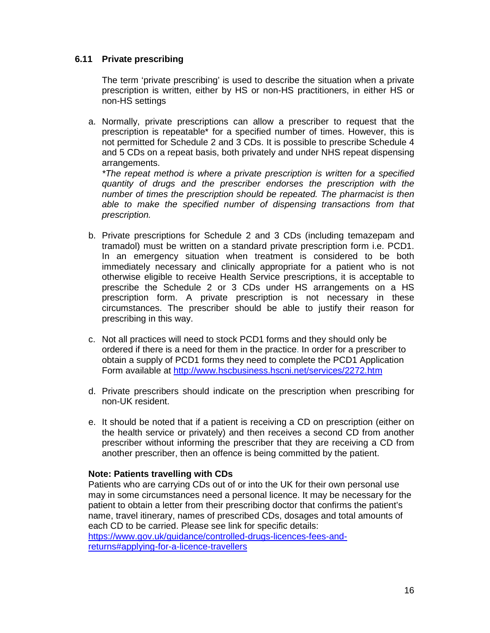#### **6.11 Private prescribing**

The term 'private prescribing' is used to describe the situation when a private prescription is written, either by HS or non-HS practitioners, in either HS or non-HS settings

a. Normally, private prescriptions can allow a prescriber to request that the prescription is repeatable\* for a specified number of times. However, this is not permitted for Schedule 2 and 3 CDs. It is possible to prescribe Schedule 4 and 5 CDs on a repeat basis, both privately and under NHS repeat dispensing arrangements.

\*The repeat method is where a private prescription is written for a specified quantity of drugs and the prescriber endorses the prescription with the number of times the prescription should be repeated. The pharmacist is then able to make the specified number of dispensing transactions from that prescription.

- b. Private prescriptions for Schedule 2 and 3 CDs (including temazepam and tramadol) must be written on a standard private prescription form i.e. PCD1. In an emergency situation when treatment is considered to be both immediately necessary and clinically appropriate for a patient who is not otherwise eligible to receive Health Service prescriptions, it is acceptable to prescribe the Schedule 2 or 3 CDs under HS arrangements on a HS prescription form. A private prescription is not necessary in these circumstances. The prescriber should be able to justify their reason for prescribing in this way.
- c. Not all practices will need to stock PCD1 forms and they should only be ordered if there is a need for them in the practice. In order for a prescriber to obtain a supply of PCD1 forms they need to complete the PCD1 Application Form available at http://www.hscbusiness.hscni.net/services/2272.htm
- d. Private prescribers should indicate on the prescription when prescribing for non-UK resident.
- e. It should be noted that if a patient is receiving a CD on prescription (either on the health service or privately) and then receives a second CD from another prescriber without informing the prescriber that they are receiving a CD from another prescriber, then an offence is being committed by the patient.

#### **Note: Patients travelling with CDs**

Patients who are carrying CDs out of or into the UK for their own personal use may in some circumstances need a personal licence. It may be necessary for the patient to obtain a letter from their prescribing doctor that confirms the patient's name, travel itinerary, names of prescribed CDs, dosages and total amounts of each CD to be carried. Please see link for specific details: https://www.gov.uk/guidance/controlled-drugs-licences-fees-andreturns#applying-for-a-licence-travellers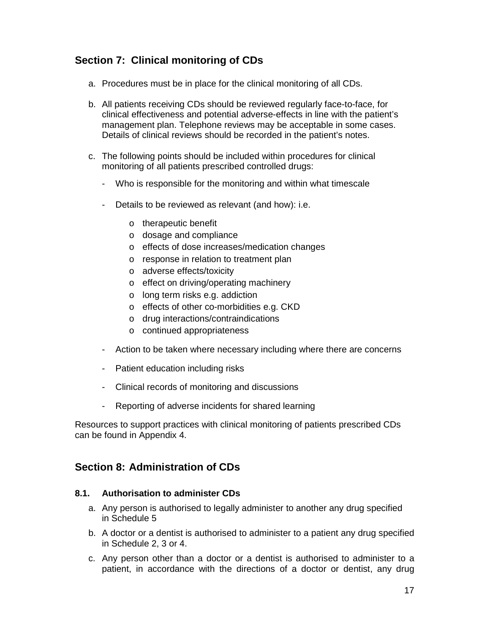# **Section 7: Clinical monitoring of CDs**

- a. Procedures must be in place for the clinical monitoring of all CDs.
- b. All patients receiving CDs should be reviewed regularly face-to-face, for clinical effectiveness and potential adverse-effects in line with the patient's management plan. Telephone reviews may be acceptable in some cases. Details of clinical reviews should be recorded in the patient's notes.
- c. The following points should be included within procedures for clinical monitoring of all patients prescribed controlled drugs:
	- Who is responsible for the monitoring and within what timescale
	- Details to be reviewed as relevant (and how): i.e.
		- o therapeutic benefit
		- o dosage and compliance
		- o effects of dose increases/medication changes
		- o response in relation to treatment plan
		- o adverse effects/toxicity
		- o effect on driving/operating machinery
		- o long term risks e.g. addiction
		- o effects of other co-morbidities e.g. CKD
		- o drug interactions/contraindications
		- o continued appropriateness
	- Action to be taken where necessary including where there are concerns
	- Patient education including risks
	- Clinical records of monitoring and discussions
	- Reporting of adverse incidents for shared learning

Resources to support practices with clinical monitoring of patients prescribed CDs can be found in Appendix 4.

# **Section 8: Administration of CDs**

#### **8.1. Authorisation to administer CDs**

- a. Any person is authorised to legally administer to another any drug specified in Schedule 5
- b. A doctor or a dentist is authorised to administer to a patient any drug specified in Schedule 2, 3 or 4.
- c. Any person other than a doctor or a dentist is authorised to administer to a patient, in accordance with the directions of a doctor or dentist, any drug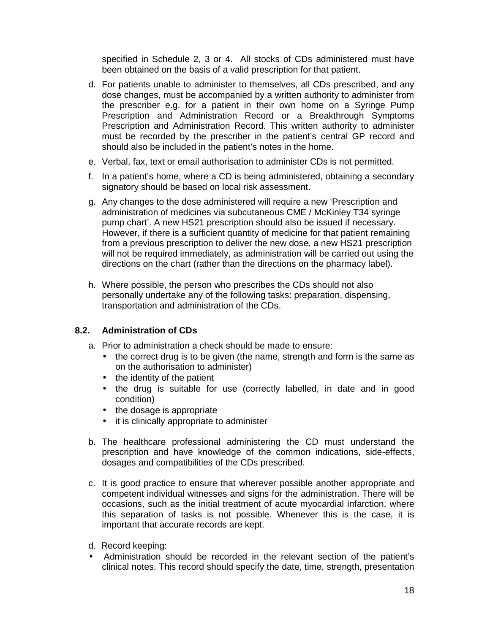specified in Schedule 2, 3 or 4. All stocks of CDs administered must have been obtained on the basis of a valid prescription for that patient.

- d. For patients unable to administer to themselves, all CDs prescribed, and any dose changes, must be accompanied by a written authority to administer from the prescriber e.g. for a patient in their own home on a Syringe Pump Prescription and Administration Record or a Breakthrough Symptoms Prescription and Administration Record. This written authority to administer must be recorded by the prescriber in the patient's central GP record and should also be included in the patient's notes in the home.
- e. Verbal, fax, text or email authorisation to administer CDs is not permitted.
- f. In a patient's home, where a CD is being administered, obtaining a secondary signatory should be based on local risk assessment.
- g. Any changes to the dose administered will require a new 'Prescription and administration of medicines via subcutaneous CME / McKinley T34 syringe pump chart'. A new HS21 prescription should also be issued if necessary. However, if there is a sufficient quantity of medicine for that patient remaining from a previous prescription to deliver the new dose, a new HS21 prescription will not be required immediately, as administration will be carried out using the directions on the chart (rather than the directions on the pharmacy label).
- h. Where possible, the person who prescribes the CDs should not also personally undertake any of the following tasks: preparation, dispensing, transportation and administration of the CDs.

#### **8.2. Administration of CDs**

- a. Prior to administration a check should be made to ensure:
	- the correct drug is to be given (the name, strength and form is the same as on the authorisation to administer)
	- the identity of the patient
	- the drug is suitable for use (correctly labelled, in date and in good condition)
	- the dosage is appropriate
	- it is clinically appropriate to administer
- b. The healthcare professional administering the CD must understand the prescription and have knowledge of the common indications, side-effects, dosages and compatibilities of the CDs prescribed.
- c. It is good practice to ensure that wherever possible another appropriate and competent individual witnesses and signs for the administration. There will be occasions, such as the initial treatment of acute myocardial infarction, where this separation of tasks is not possible. Whenever this is the case, it is important that accurate records are kept.
- d. Record keeping:
- Administration should be recorded in the relevant section of the patient's clinical notes. This record should specify the date, time, strength, presentation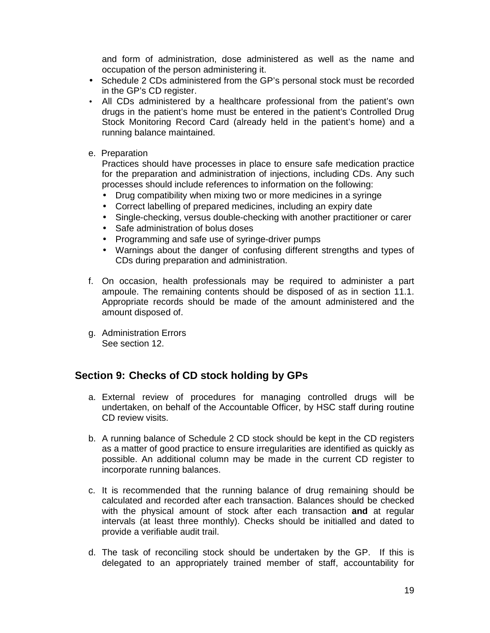and form of administration, dose administered as well as the name and occupation of the person administering it.

- Schedule 2 CDs administered from the GP's personal stock must be recorded in the GP's CD register.
- All CDs administered by a healthcare professional from the patient's own drugs in the patient's home must be entered in the patient's Controlled Drug Stock Monitoring Record Card (already held in the patient's home) and a running balance maintained.
- e. Preparation

Practices should have processes in place to ensure safe medication practice for the preparation and administration of injections, including CDs. Any such processes should include references to information on the following:

- Drug compatibility when mixing two or more medicines in a syringe
- Correct labelling of prepared medicines, including an expiry date
- Single-checking, versus double-checking with another practitioner or carer
- Safe administration of bolus doses
- Programming and safe use of syringe-driver pumps
- Warnings about the danger of confusing different strengths and types of CDs during preparation and administration.
- f. On occasion, health professionals may be required to administer a part ampoule. The remaining contents should be disposed of as in section 11.1. Appropriate records should be made of the amount administered and the amount disposed of.
- g. Administration Errors See section 12.

# **Section 9: Checks of CD stock holding by GPs**

- a. External review of procedures for managing controlled drugs will be undertaken, on behalf of the Accountable Officer, by HSC staff during routine CD review visits.
- b. A running balance of Schedule 2 CD stock should be kept in the CD registers as a matter of good practice to ensure irregularities are identified as quickly as possible. An additional column may be made in the current CD register to incorporate running balances.
- c. It is recommended that the running balance of drug remaining should be calculated and recorded after each transaction. Balances should be checked with the physical amount of stock after each transaction **and** at regular intervals (at least three monthly). Checks should be initialled and dated to provide a verifiable audit trail.
- d. The task of reconciling stock should be undertaken by the GP. If this is delegated to an appropriately trained member of staff, accountability for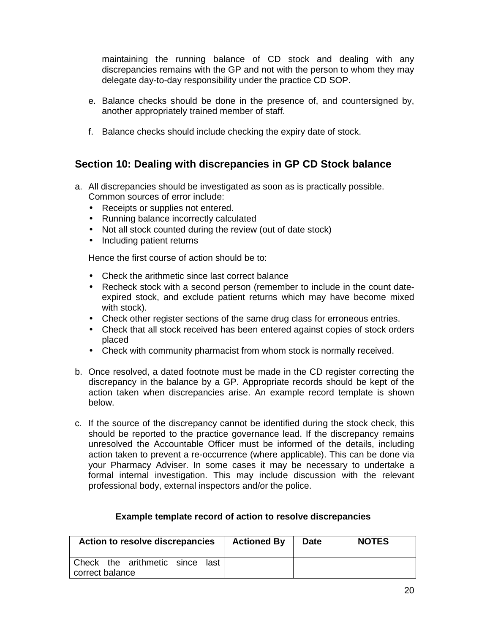maintaining the running balance of CD stock and dealing with any discrepancies remains with the GP and not with the person to whom they may delegate day-to-day responsibility under the practice CD SOP.

- e. Balance checks should be done in the presence of, and countersigned by, another appropriately trained member of staff.
- f. Balance checks should include checking the expiry date of stock.

# **Section 10: Dealing with discrepancies in GP CD Stock balance**

- a. All discrepancies should be investigated as soon as is practically possible. Common sources of error include:
	- Receipts or supplies not entered.
	- Running balance incorrectly calculated
	- Not all stock counted during the review (out of date stock)
	- Including patient returns

Hence the first course of action should be to:

- Check the arithmetic since last correct balance
- Recheck stock with a second person (remember to include in the count dateexpired stock, and exclude patient returns which may have become mixed with stock).
- Check other register sections of the same drug class for erroneous entries.
- Check that all stock received has been entered against copies of stock orders placed
- Check with community pharmacist from whom stock is normally received.
- b. Once resolved, a dated footnote must be made in the CD register correcting the discrepancy in the balance by a GP. Appropriate records should be kept of the action taken when discrepancies arise. An example record template is shown below.
- c. If the source of the discrepancy cannot be identified during the stock check, this should be reported to the practice governance lead. If the discrepancy remains unresolved the Accountable Officer must be informed of the details, including action taken to prevent a re-occurrence (where applicable). This can be done via your Pharmacy Adviser. In some cases it may be necessary to undertake a formal internal investigation. This may include discussion with the relevant professional body, external inspectors and/or the police.

| Action to resolve discrepancies | <b>Actioned By</b> | <b>Date</b> | <b>NOTES</b> |
|---------------------------------|--------------------|-------------|--------------|
| Check the arithmetic since last |                    |             |              |
| correct balance                 |                    |             |              |

#### **Example template record of action to resolve discrepancies**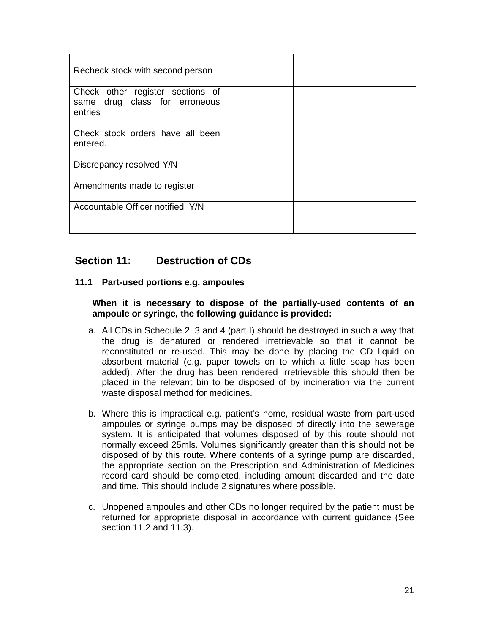| Recheck stock with second person                                             |  |  |
|------------------------------------------------------------------------------|--|--|
| Check other register sections of<br>same drug class for erroneous<br>entries |  |  |
| Check stock orders have all been<br>entered.                                 |  |  |
| Discrepancy resolved Y/N                                                     |  |  |
| Amendments made to register                                                  |  |  |
| Accountable Officer notified Y/N                                             |  |  |

# **Section 11: Destruction of CDs**

#### **11.1 Part-used portions e.g. ampoules**

**When it is necessary to dispose of the partially-used contents of an ampoule or syringe, the following guidance is provided:** 

- a. All CDs in Schedule 2, 3 and 4 (part I) should be destroyed in such a way that the drug is denatured or rendered irretrievable so that it cannot be reconstituted or re-used. This may be done by placing the CD liquid on absorbent material (e.g. paper towels on to which a little soap has been added). After the drug has been rendered irretrievable this should then be placed in the relevant bin to be disposed of by incineration via the current waste disposal method for medicines.
- b. Where this is impractical e.g. patient's home, residual waste from part-used ampoules or syringe pumps may be disposed of directly into the sewerage system. It is anticipated that volumes disposed of by this route should not normally exceed 25mls. Volumes significantly greater than this should not be disposed of by this route. Where contents of a syringe pump are discarded, the appropriate section on the Prescription and Administration of Medicines record card should be completed, including amount discarded and the date and time. This should include 2 signatures where possible.
- c. Unopened ampoules and other CDs no longer required by the patient must be returned for appropriate disposal in accordance with current guidance (See section 11.2 and 11.3).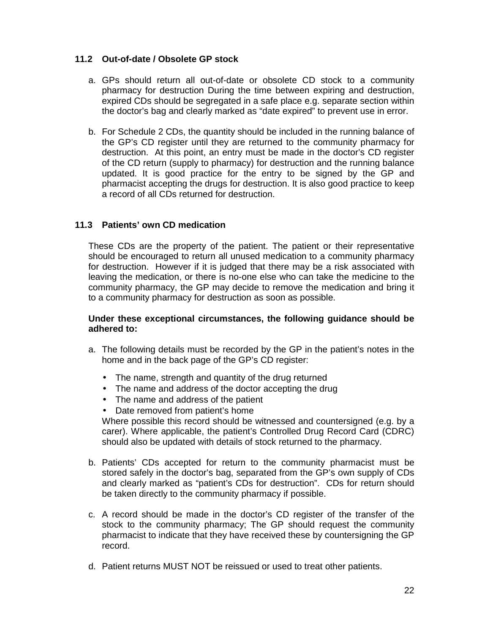## **11.2 Out-of-date / Obsolete GP stock**

- a. GPs should return all out-of-date or obsolete CD stock to a community pharmacy for destruction During the time between expiring and destruction, expired CDs should be segregated in a safe place e.g. separate section within the doctor's bag and clearly marked as "date expired" to prevent use in error.
- b. For Schedule 2 CDs, the quantity should be included in the running balance of the GP's CD register until they are returned to the community pharmacy for destruction. At this point, an entry must be made in the doctor's CD register of the CD return (supply to pharmacy) for destruction and the running balance updated. It is good practice for the entry to be signed by the GP and pharmacist accepting the drugs for destruction. It is also good practice to keep a record of all CDs returned for destruction.

## **11.3 Patients' own CD medication**

These CDs are the property of the patient. The patient or their representative should be encouraged to return all unused medication to a community pharmacy for destruction. However if it is judged that there may be a risk associated with leaving the medication, or there is no-one else who can take the medicine to the community pharmacy, the GP may decide to remove the medication and bring it to a community pharmacy for destruction as soon as possible.

#### **Under these exceptional circumstances, the following guidance should be adhered to:**

- a. The following details must be recorded by the GP in the patient's notes in the home and in the back page of the GP's CD register:
	- The name, strength and quantity of the drug returned
	- The name and address of the doctor accepting the drug
	- The name and address of the patient
	- Date removed from patient's home

Where possible this record should be witnessed and countersigned (e.g. by a carer). Where applicable, the patient's Controlled Drug Record Card (CDRC) should also be updated with details of stock returned to the pharmacy.

- b. Patients' CDs accepted for return to the community pharmacist must be stored safely in the doctor's bag, separated from the GP's own supply of CDs and clearly marked as "patient's CDs for destruction". CDs for return should be taken directly to the community pharmacy if possible.
- c. A record should be made in the doctor's CD register of the transfer of the stock to the community pharmacy; The GP should request the community pharmacist to indicate that they have received these by countersigning the GP record.
- d. Patient returns MUST NOT be reissued or used to treat other patients.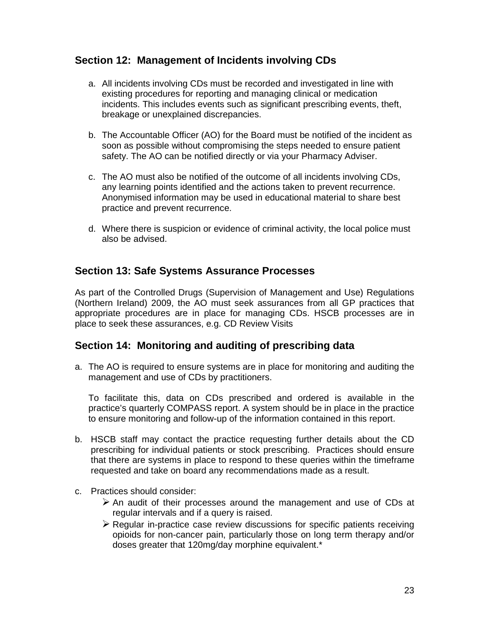# **Section 12: Management of Incidents involving CDs**

- a. All incidents involving CDs must be recorded and investigated in line with existing procedures for reporting and managing clinical or medication incidents. This includes events such as significant prescribing events, theft, breakage or unexplained discrepancies.
- b. The Accountable Officer (AO) for the Board must be notified of the incident as soon as possible without compromising the steps needed to ensure patient safety. The AO can be notified directly or via your Pharmacy Adviser.
- c. The AO must also be notified of the outcome of all incidents involving CDs, any learning points identified and the actions taken to prevent recurrence. Anonymised information may be used in educational material to share best practice and prevent recurrence.
- d. Where there is suspicion or evidence of criminal activity, the local police must also be advised.

# **Section 13: Safe Systems Assurance Processes**

As part of the Controlled Drugs (Supervision of Management and Use) Regulations (Northern Ireland) 2009, the AO must seek assurances from all GP practices that appropriate procedures are in place for managing CDs. HSCB processes are in place to seek these assurances, e.g. CD Review Visits

# **Section 14: Monitoring and auditing of prescribing data**

a. The AO is required to ensure systems are in place for monitoring and auditing the management and use of CDs by practitioners.

To facilitate this, data on CDs prescribed and ordered is available in the practice's quarterly COMPASS report. A system should be in place in the practice to ensure monitoring and follow-up of the information contained in this report.

- b. HSCB staff may contact the practice requesting further details about the CD prescribing for individual patients or stock prescribing. Practices should ensure that there are systems in place to respond to these queries within the timeframe requested and take on board any recommendations made as a result.
- c. Practices should consider:
	- $\triangleright$  An audit of their processes around the management and use of CDs at regular intervals and if a query is raised.
	- $\triangleright$  Regular in-practice case review discussions for specific patients receiving opioids for non-cancer pain, particularly those on long term therapy and/or doses greater that 120mg/day morphine equivalent.\*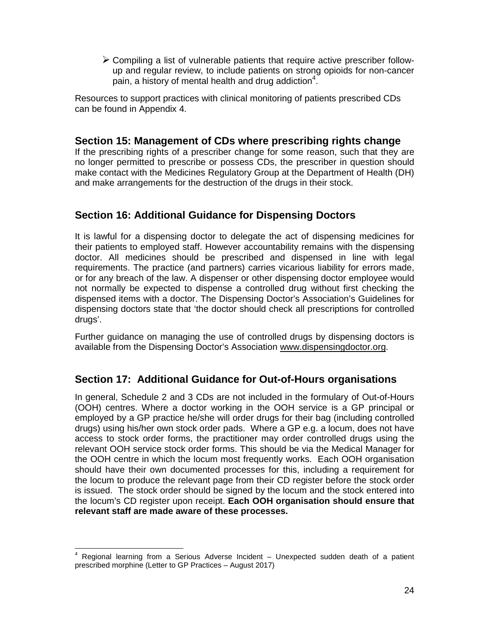$\triangleright$  Compiling a list of vulnerable patients that require active prescriber followup and regular review, to include patients on strong opioids for non-cancer pain, a history of mental health and drug addiction<sup>4</sup>.

Resources to support practices with clinical monitoring of patients prescribed CDs can be found in Appendix 4.

# **Section 15: Management of CDs where prescribing rights change**

If the prescribing rights of a prescriber change for some reason, such that they are no longer permitted to prescribe or possess CDs, the prescriber in question should make contact with the Medicines Regulatory Group at the Department of Health (DH) and make arrangements for the destruction of the drugs in their stock.

# **Section 16: Additional Guidance for Dispensing Doctors**

It is lawful for a dispensing doctor to delegate the act of dispensing medicines for their patients to employed staff. However accountability remains with the dispensing doctor. All medicines should be prescribed and dispensed in line with legal requirements. The practice (and partners) carries vicarious liability for errors made, or for any breach of the law. A dispenser or other dispensing doctor employee would not normally be expected to dispense a controlled drug without first checking the dispensed items with a doctor. The Dispensing Doctor's Association's Guidelines for dispensing doctors state that 'the doctor should check all prescriptions for controlled drugs'.

Further guidance on managing the use of controlled drugs by dispensing doctors is available from the Dispensing Doctor's Association www.dispensingdoctor.org.

# **Section 17: Additional Guidance for Out-of-Hours organisations**

In general, Schedule 2 and 3 CDs are not included in the formulary of Out-of-Hours (OOH) centres. Where a doctor working in the OOH service is a GP principal or employed by a GP practice he/she will order drugs for their bag (including controlled drugs) using his/her own stock order pads. Where a GP e.g. a locum, does not have access to stock order forms, the practitioner may order controlled drugs using the relevant OOH service stock order forms. This should be via the Medical Manager for the OOH centre in which the locum most frequently works. Each OOH organisation should have their own documented processes for this, including a requirement for the locum to produce the relevant page from their CD register before the stock order is issued. The stock order should be signed by the locum and the stock entered into the locum's CD register upon receipt. **Each OOH organisation should ensure that relevant staff are made aware of these processes.** 

 $\overline{a}$ 

<sup>4</sup> Regional learning from a Serious Adverse Incident – Unexpected sudden death of a patient prescribed morphine (Letter to GP Practices – August 2017)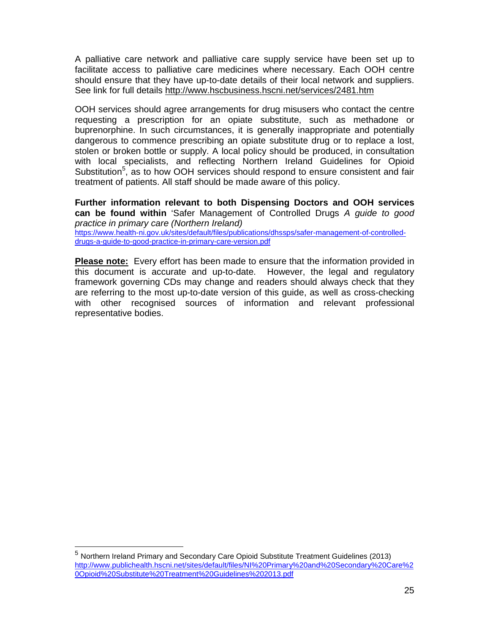A palliative care network and palliative care supply service have been set up to facilitate access to palliative care medicines where necessary. Each OOH centre should ensure that they have up-to-date details of their local network and suppliers. See link for full details http://www.hscbusiness.hscni.net/services/2481.htm

OOH services should agree arrangements for drug misusers who contact the centre requesting a prescription for an opiate substitute, such as methadone or buprenorphine. In such circumstances, it is generally inappropriate and potentially dangerous to commence prescribing an opiate substitute drug or to replace a lost, stolen or broken bottle or supply. A local policy should be produced, in consultation with local specialists, and reflecting Northern Ireland Guidelines for Opioid Substitution<sup>5</sup>, as to how OOH services should respond to ensure consistent and fair treatment of patients. All staff should be made aware of this policy.

**Further information relevant to both Dispensing Doctors and OOH services can be found within** 'Safer Management of Controlled Drugs A guide to good practice in primary care (Northern Ireland) https://www.health-ni.gov.uk/sites/default/files/publications/dhssps/safer-management-of-controlled-

drugs-a-guide-to-good-practice-in-primary-care-version.pdf

**Please note:** Every effort has been made to ensure that the information provided in this document is accurate and up-to-date. However, the legal and regulatory framework governing CDs may change and readers should always check that they are referring to the most up-to-date version of this guide, as well as cross-checking with other recognised sources of information and relevant professional representative bodies.

-

<sup>5</sup> Northern Ireland Primary and Secondary Care Opioid Substitute Treatment Guidelines (2013) http://www.publichealth.hscni.net/sites/default/files/NI%20Primary%20and%20Secondary%20Care%2 0Opioid%20Substitute%20Treatment%20Guidelines%202013.pdf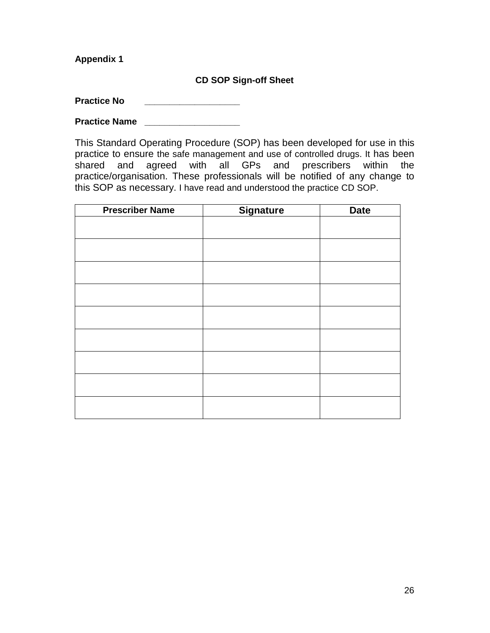## **CD SOP Sign-off Sheet**

**Practice No** 

**Practice Name** 

This Standard Operating Procedure (SOP) has been developed for use in this practice to ensure the safe management and use of controlled drugs. It has been shared and agreed with all GPs and prescribers within the practice/organisation. These professionals will be notified of any change to this SOP as necessary. I have read and understood the practice CD SOP.

| <b>Prescriber Name</b> | <b>Signature</b> | <b>Date</b> |
|------------------------|------------------|-------------|
|                        |                  |             |
|                        |                  |             |
|                        |                  |             |
|                        |                  |             |
|                        |                  |             |
|                        |                  |             |
|                        |                  |             |
|                        |                  |             |
|                        |                  |             |
|                        |                  |             |
|                        |                  |             |
|                        |                  |             |
|                        |                  |             |
|                        |                  |             |
|                        |                  |             |
|                        |                  |             |
|                        |                  |             |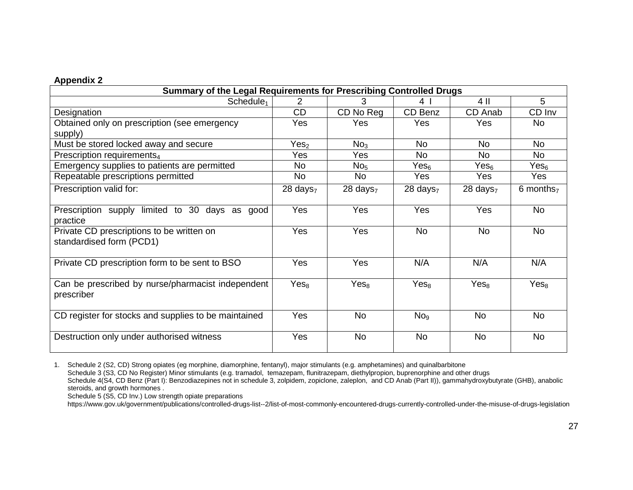| Summary of the Legal Requirements for Prescribing Controlled Drugs    |                        |                        |                  |                        |                       |  |  |
|-----------------------------------------------------------------------|------------------------|------------------------|------------------|------------------------|-----------------------|--|--|
| Schedule <sub>1</sub>                                                 | 2                      | 3                      | 4                | 4 II                   | 5                     |  |  |
| Designation                                                           | CD                     | CD No Reg              | CD Benz          | CD Anab                | CD Inv                |  |  |
| Obtained only on prescription (see emergency<br>supply)               | Yes                    | Yes                    | Yes              | Yes                    | <b>No</b>             |  |  |
| Must be stored locked away and secure                                 | Yes <sub>2</sub>       | No <sub>3</sub>        | <b>No</b>        | <b>No</b>              | <b>No</b>             |  |  |
| Prescription requirements <sub>4</sub>                                | Yes                    | Yes                    | <b>No</b>        | <b>No</b>              | <b>No</b>             |  |  |
| Emergency supplies to patients are permitted                          | <b>No</b>              | No <sub>5</sub>        | Yes <sub>6</sub> | Yes <sub>6</sub>       | Yes <sub>6</sub>      |  |  |
| Repeatable prescriptions permitted                                    | <b>No</b>              | No                     | Yes              | Yes                    | Yes                   |  |  |
| Prescription valid for:                                               | $28$ days <sub>7</sub> | $28$ days <sub>7</sub> | 28 days $7$      | $28$ days <sub>7</sub> | 6 months <sub>7</sub> |  |  |
| Prescription supply limited to 30 days as good<br>practice            | Yes                    | Yes                    | Yes              | Yes                    | <b>No</b>             |  |  |
| Private CD prescriptions to be written on<br>standardised form (PCD1) | Yes                    | Yes                    | <b>No</b>        | <b>No</b>              | <b>No</b>             |  |  |
| Private CD prescription form to be sent to BSO                        | Yes                    | Yes                    | N/A              | N/A                    | N/A                   |  |  |
| Can be prescribed by nurse/pharmacist independent<br>prescriber       | Yes <sub>8</sub>       | Yes <sub>8</sub>       | Yes <sub>8</sub> | Yes <sub>8</sub>       | Yes <sub>8</sub>      |  |  |
| CD register for stocks and supplies to be maintained                  | Yes                    | <b>No</b>              | No <sub>9</sub>  | <b>No</b>              | <b>No</b>             |  |  |
| Destruction only under authorised witness                             | Yes                    | <b>No</b>              | <b>No</b>        | No                     | No                    |  |  |

1. Schedule 2 (S2, CD) Strong opiates (eg morphine, diamorphine, fentanyl), major stimulants (e.g. amphetamines) and quinalbarbitone Schedule 3 (S3, CD No Register) Minor stimulants (e.g. tramadol, temazepam, flunitrazepam, diethylpropion, buprenorphine and other drugs Schedule 4(S4, CD Benz (Part I): Benzodiazepines not in schedule 3, zolpidem, zopiclone, zaleplon, and CD Anab (Part II)), gammahydroxybutyrate (GHB), anabolic steroids, and growth hormones.

Schedule 5 (S5, CD Inv.) Low strength opiate preparations

https://www.gov.uk/government/publications/controlled-drugs-list--2/list-of-most-commonly-encountered-drugs-currently-controlled-under-the-misuse-of-drugs-legislation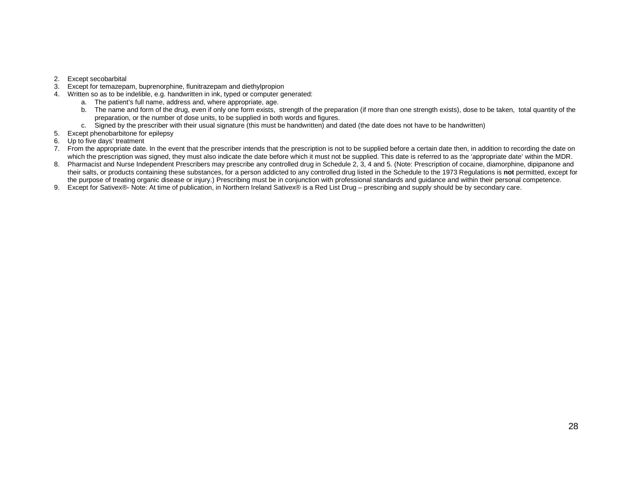- 2. Except secobarbital
- 3. Except for temazepam, buprenorphine, flunitrazepam and diethylpropion
- 4. Written so as to be indelible, e.g. handwritten in ink, typed or computer generated:
	- a. The patient's full name, address and, where appropriate, age.
	- b. The name and form of the drug, even if only one form exists, strength of the preparation (if more than one strength exists), dose to be taken, total quantity of the preparation, or the number of dose units, to be supplied in both words and figures.
	- c. Signed by the prescriber with their usual signature (this must be handwritten) and dated (the date does not have to be handwritten)
- 5. Except phenobarbitone for epilepsy
- 6. Up to five days' treatment
- 7. From the appropriate date. In the event that the prescriber intends that the prescription is not to be supplied before a certain date then, in addition to recording the date on which the prescription was signed, they must also indicate the date before which it must not be supplied. This date is referred to as the 'appropriate date' within the MDR.
- 8. Pharmacist and Nurse Independent Prescribers may prescribe any controlled drug in Schedule 2, 3, 4 and 5. (Note: Prescription of cocaine, diamorphine, dipipanone and their salts, or products containing these substances, for a person addicted to any controlled drug listed in the Schedule to the 1973 Regulations is **not** permitted, except for the purpose of treating organic disease or injury.) Prescribing must be in conjunction with professional standards and guidance and within their personal competence.
- 9. Except for Sativex®- Note: At time of publication, in Northern Ireland Sativex® is a Red List Drug prescribing and supply should be by secondary care.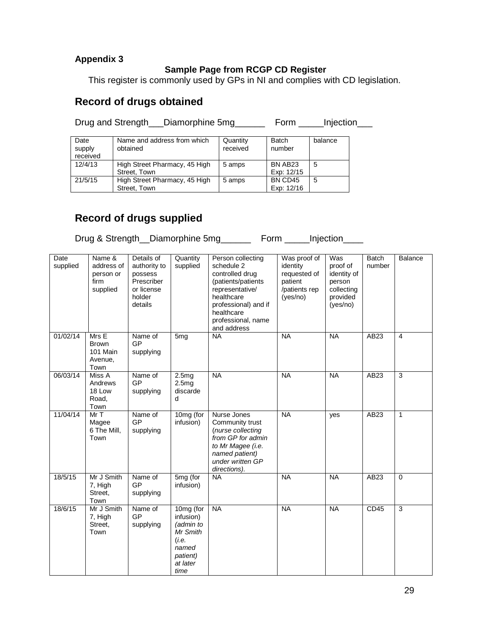## **Sample Page from RCGP CD Register**

This register is commonly used by GPs in NI and complies with CD legislation.

# **Record of drugs obtained**

Drug and Strength\_\_\_Diamorphine 5mg\_\_\_\_\_\_\_ Form \_\_\_\_\_Injection\_\_\_

| Date<br>supply<br>received | Name and address from which<br>obtained | Quantity<br>received | <b>Batch</b><br>number | balance |
|----------------------------|-----------------------------------------|----------------------|------------------------|---------|
| 12/4/13                    | High Street Pharmacy, 45 High           | 5 amps               | BN AB <sub>23</sub>    | 5       |
|                            | Street. Town                            |                      | Exp: 12/15             |         |
| 21/5/15                    | High Street Pharmacy, 45 High           | 5 amps               | BN CD45                | 5       |
|                            | Street. Town                            |                      | Exp: 12/16             |         |

# **Record of drugs supplied**

Drug & Strength\_Diamorphine 5mg\_\_\_\_\_\_ Form \_\_\_\_Injection\_\_\_\_

| Date<br>supplied | Name &<br>address of<br>person or<br>firm<br>supplied | Details of<br>authority to<br>possess<br>Prescriber<br>or license<br>holder<br>details | Quantity<br>supplied                                                                              | Person collecting<br>schedule 2<br>controlled drug<br>(patients/patients<br>representative/<br>healthcare<br>professional) and if<br>healthcare<br>professional, name<br>and address | Was proof of<br>identity<br>requested of<br>patient<br>/patients rep<br>(yes/no) | Was<br>proof of<br>identity of<br>person<br>collecting<br>provided<br>(yes/no) | <b>Batch</b><br>number | Balance        |
|------------------|-------------------------------------------------------|----------------------------------------------------------------------------------------|---------------------------------------------------------------------------------------------------|--------------------------------------------------------------------------------------------------------------------------------------------------------------------------------------|----------------------------------------------------------------------------------|--------------------------------------------------------------------------------|------------------------|----------------|
| 01/02/14         | Mrs E<br><b>Brown</b><br>101 Main<br>Avenue,<br>Town  | Name of<br>GP<br>supplying                                                             | 5 <sub>mg</sub>                                                                                   | <b>NA</b>                                                                                                                                                                            | <b>NA</b>                                                                        | <b>NA</b>                                                                      | AB23                   | $\overline{4}$ |
| 06/03/14         | Miss A<br>Andrews<br>18 Low<br>Road,<br>Town          | Name of<br><b>GP</b><br>supplying                                                      | 2.5mg<br>2.5mg<br>discarde<br>d                                                                   | <b>NA</b>                                                                                                                                                                            | <b>NA</b>                                                                        | <b>NA</b>                                                                      | AB23                   | $\overline{3}$ |
| 11/04/14         | MrT<br>Magee<br>6 The Mill.<br>Town                   | Name of<br>GP<br>supplying                                                             | 10mg (for<br>infusion)                                                                            | Nurse Jones<br>Community trust<br>(nurse collecting<br>from GP for admin<br>to Mr Magee (i.e.<br>named patient)<br>under written GP<br>directions).                                  | <b>NA</b>                                                                        | yes                                                                            | AB23                   | 1              |
| 18/5/15          | Mr J Smith<br>7, High<br>Street,<br>Town              | Name of<br>GP<br>supplying                                                             | 5mg (for<br>infusion)                                                                             | <b>NA</b>                                                                                                                                                                            | <b>NA</b>                                                                        | <b>NA</b>                                                                      | AB23                   | $\Omega$       |
| 18/6/15          | Mr J Smith<br>7, High<br>Street,<br>Town              | Name of<br><b>GP</b><br>supplying                                                      | 10mg (for<br>infusion)<br>(admin to<br>Mr Smith<br>(i.e.<br>named<br>patient)<br>at later<br>time | <b>NA</b>                                                                                                                                                                            | <b>NA</b>                                                                        | <b>NA</b>                                                                      | CD45                   | 3              |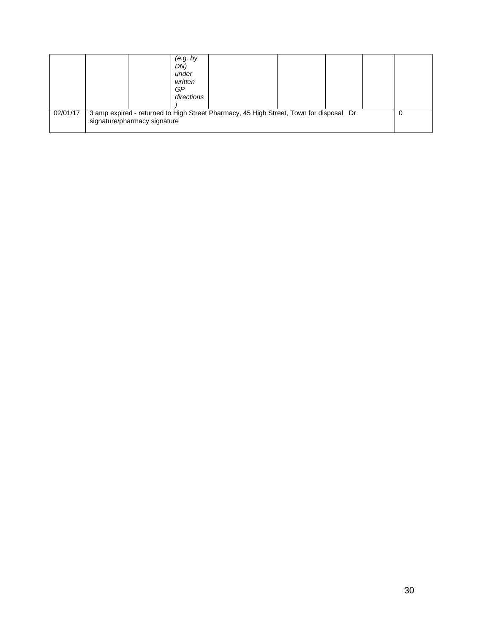|          | (e.g. by<br>DN)<br>under<br>written<br>GP<br>directions                                                                |  |  |  |  |  |
|----------|------------------------------------------------------------------------------------------------------------------------|--|--|--|--|--|
| 02/01/17 | 3 amp expired - returned to High Street Pharmacy, 45 High Street, Town for disposal Dr<br>signature/pharmacy signature |  |  |  |  |  |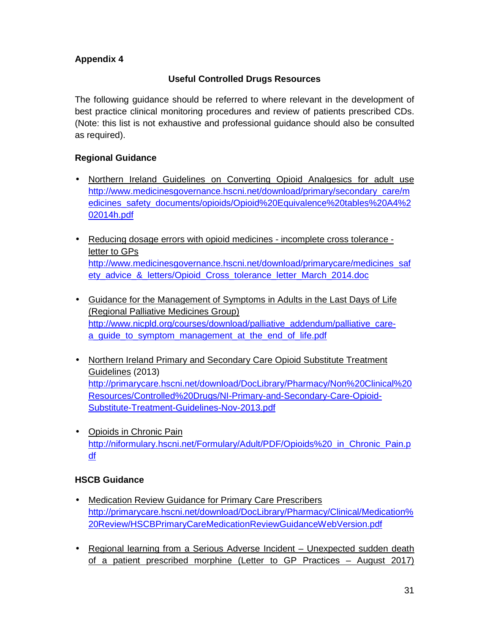# **Useful Controlled Drugs Resources**

The following guidance should be referred to where relevant in the development of best practice clinical monitoring procedures and review of patients prescribed CDs. (Note: this list is not exhaustive and professional guidance should also be consulted as required).

## **Regional Guidance**

- Northern Ireland Guidelines on Converting Opioid Analgesics for adult use http://www.medicinesgovernance.hscni.net/download/primary/secondary\_care/m edicines\_safety\_documents/opioids/Opioid%20Equivalence%20tables%20A4%2 02014h.pdf
- Reducing dosage errors with opioid medicines incomplete cross tolerance letter to GPs http://www.medicinesgovernance.hscni.net/download/primarycare/medicines\_saf ety\_advice\_&\_letters/Opioid\_Cross\_tolerance\_letter\_March\_2014.doc
- Guidance for the Management of Symptoms in Adults in the Last Days of Life (Regional Palliative Medicines Group) http://www.nicpld.org/courses/download/palliative\_addendum/palliative\_carea quide to symptom management at the end of life.pdf
- Northern Ireland Primary and Secondary Care Opioid Substitute Treatment Guidelines (2013) http://primarycare.hscni.net/download/DocLibrary/Pharmacy/Non%20Clinical%20 Resources/Controlled%20Drugs/NI-Primary-and-Secondary-Care-Opioid-Substitute-Treatment-Guidelines-Nov-2013.pdf
- Opioids in Chronic Pain http://niformulary.hscni.net/Formulary/Adult/PDF/Opioids%20\_in\_Chronic\_Pain.p df

## **HSCB Guidance**

- Medication Review Guidance for Primary Care Prescribers http://primarycare.hscni.net/download/DocLibrary/Pharmacy/Clinical/Medication% 20Review/HSCBPrimaryCareMedicationReviewGuidanceWebVersion.pdf
- Regional learning from a Serious Adverse Incident Unexpected sudden death of a patient prescribed morphine (Letter to GP Practices – August 2017)